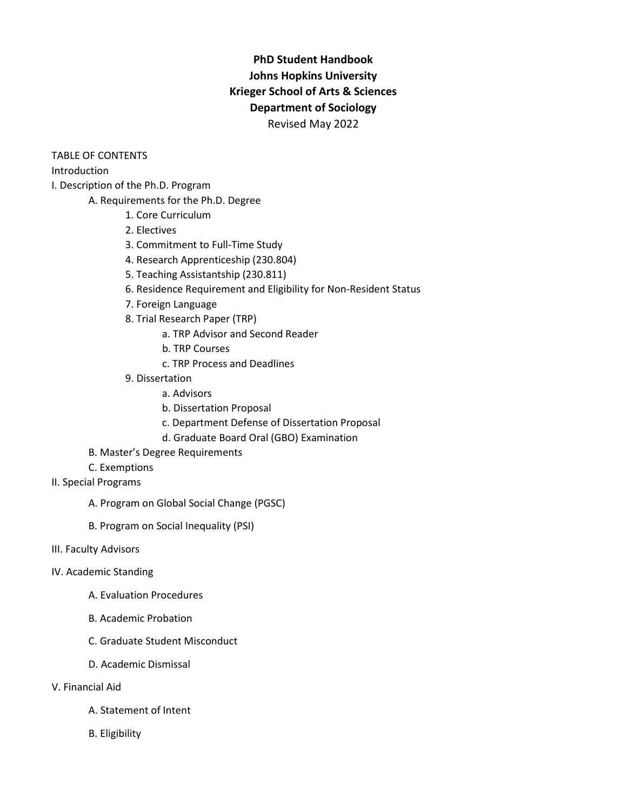# **PhD Student Handbook Johns Hopkins University Krieger School of Arts & Sciences Department of Sociology** Revised May 2022

TABLE OF CONTENTS

Introduction

I. Description of the Ph.D. Program

- A. Requirements for the Ph.D. Degree
	- 1. Core Curriculum
	- 2. Electives
	- 3. Commitment to Full-Time Study
	- 4. Research Apprenticeship (230.804)
	- 5. Teaching Assistantship (230.811)
	- 6. Residence Requirement and Eligibility for Non-Resident Status
	- 7. Foreign Language
	- 8. Trial Research Paper (TRP)
		- a. TRP Advisor and Second Reader
		- b. TRP Courses
		- c. TRP Process and Deadlines
	- 9. Dissertation
		- a. Advisors
		- b. Dissertation Proposal
		- c. Department Defense of Dissertation Proposal
		- d. Graduate Board Oral (GBO) Examination
- B. Master's Degree Requirements
- C. Exemptions
- II. Special Programs
	- A. Program on Global Social Change (PGSC)
	- B. Program on Social Inequality (PSI)
- III. Faculty Advisors
- IV. Academic Standing
	- A. Evaluation Procedures
	- B. Academic Probation
	- C. Graduate Student Misconduct
	- D. Academic Dismissal
- V. Financial Aid
	- A. Statement of Intent
	- B. Eligibility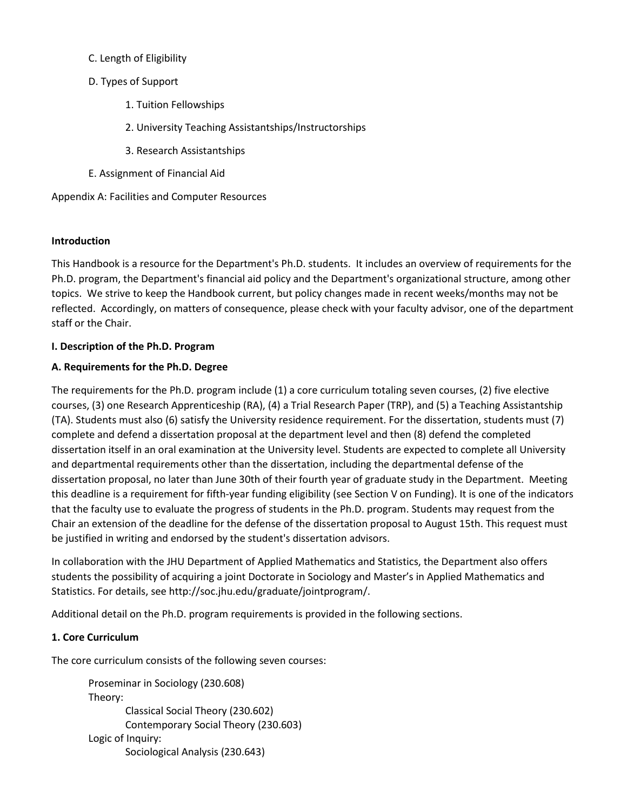- C. Length of Eligibility
- D. Types of Support
	- 1. Tuition Fellowships
	- 2. University Teaching Assistantships/Instructorships
	- 3. Research Assistantships
- E. Assignment of Financial Aid

Appendix A: Facilities and Computer Resources

#### **Introduction**

This Handbook is a resource for the Department's Ph.D. students. It includes an overview of requirements for the Ph.D. program, the Department's financial aid policy and the Department's organizational structure, among other topics. We strive to keep the Handbook current, but policy changes made in recent weeks/months may not be reflected. Accordingly, on matters of consequence, please check with your faculty advisor, one of the department staff or the Chair.

#### **I. Description of the Ph.D. Program**

#### **A. Requirements for the Ph.D. Degree**

The requirements for the Ph.D. program include (1) a core curriculum totaling seven courses, (2) five elective courses, (3) one Research Apprenticeship (RA), (4) a Trial Research Paper (TRP), and (5) a Teaching Assistantship (TA). Students must also (6) satisfy the University residence requirement. For the dissertation, students must (7) complete and defend a dissertation proposal at the department level and then (8) defend the completed dissertation itself in an oral examination at the University level. Students are expected to complete all University and departmental requirements other than the dissertation, including the departmental defense of the dissertation proposal, no later than June 30th of their fourth year of graduate study in the Department. Meeting this deadline is a requirement for fifth-year funding eligibility (see Section V on Funding). It is one of the indicators that the faculty use to evaluate the progress of students in the Ph.D. program. Students may request from the Chair an extension of the deadline for the defense of the dissertation proposal to August 15th. This request must be justified in writing and endorsed by the student's dissertation advisors.

In collaboration with the JHU Department of Applied Mathematics and Statistics, the Department also offers students the possibility of acquiring a joint Doctorate in Sociology and Master's in Applied Mathematics and Statistics. For details, see http://soc.jhu.edu/graduate/jointprogram/.

Additional detail on the Ph.D. program requirements is provided in the following sections.

#### **1. Core Curriculum**

The core curriculum consists of the following seven courses:

```
Proseminar in Sociology (230.608)
Theory: 
        Classical Social Theory (230.602) 
        Contemporary Social Theory (230.603) 
Logic of Inquiry:
        Sociological Analysis (230.643)
```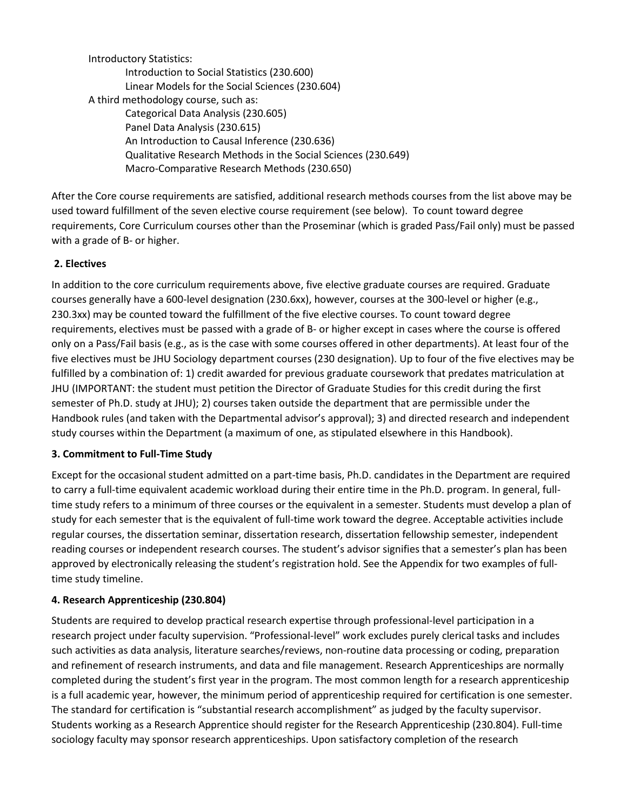Introductory Statistics: Introduction to Social Statistics (230.600) Linear Models for the Social Sciences (230.604) A third methodology course, such as: Categorical Data Analysis (230.605) Panel Data Analysis (230.615) An Introduction to Causal Inference (230.636) Qualitative Research Methods in the Social Sciences (230.649) Macro-Comparative Research Methods (230.650)

After the Core course requirements are satisfied, additional research methods courses from the list above may be used toward fulfillment of the seven elective course requirement (see below). To count toward degree requirements, Core Curriculum courses other than the Proseminar (which is graded Pass/Fail only) must be passed with a grade of B- or higher.

### **2. Electives**

In addition to the core curriculum requirements above, five elective graduate courses are required. Graduate courses generally have a 600-level designation (230.6xx), however, courses at the 300-level or higher (e.g., 230.3xx) may be counted toward the fulfillment of the five elective courses. To count toward degree requirements, electives must be passed with a grade of B- or higher except in cases where the course is offered only on a Pass/Fail basis (e.g., as is the case with some courses offered in other departments). At least four of the five electives must be JHU Sociology department courses (230 designation). Up to four of the five electives may be fulfilled by a combination of: 1) credit awarded for previous graduate coursework that predates matriculation at JHU (IMPORTANT: the student must petition the Director of Graduate Studies for this credit during the first semester of Ph.D. study at JHU); 2) courses taken outside the department that are permissible under the Handbook rules (and taken with the Departmental advisor's approval); 3) and directed research and independent study courses within the Department (a maximum of one, as stipulated elsewhere in this Handbook).

#### **3. Commitment to Full-Time Study**

Except for the occasional student admitted on a part-time basis, Ph.D. candidates in the Department are required to carry a full-time equivalent academic workload during their entire time in the Ph.D. program. In general, fulltime study refers to a minimum of three courses or the equivalent in a semester. Students must develop a plan of study for each semester that is the equivalent of full-time work toward the degree. Acceptable activities include regular courses, the dissertation seminar, dissertation research, dissertation fellowship semester, independent reading courses or independent research courses. The student's advisor signifies that a semester's plan has been approved by electronically releasing the student's registration hold. See the Appendix for two examples of fulltime study timeline.

#### **4. Research Apprenticeship (230.804)**

Students are required to develop practical research expertise through professional-level participation in a research project under faculty supervision. "Professional-level" work excludes purely clerical tasks and includes such activities as data analysis, literature searches/reviews, non-routine data processing or coding, preparation and refinement of research instruments, and data and file management. Research Apprenticeships are normally completed during the student's first year in the program. The most common length for a research apprenticeship is a full academic year, however, the minimum period of apprenticeship required for certification is one semester. The standard for certification is "substantial research accomplishment" as judged by the faculty supervisor. Students working as a Research Apprentice should register for the Research Apprenticeship (230.804). Full-time sociology faculty may sponsor research apprenticeships. Upon satisfactory completion of the research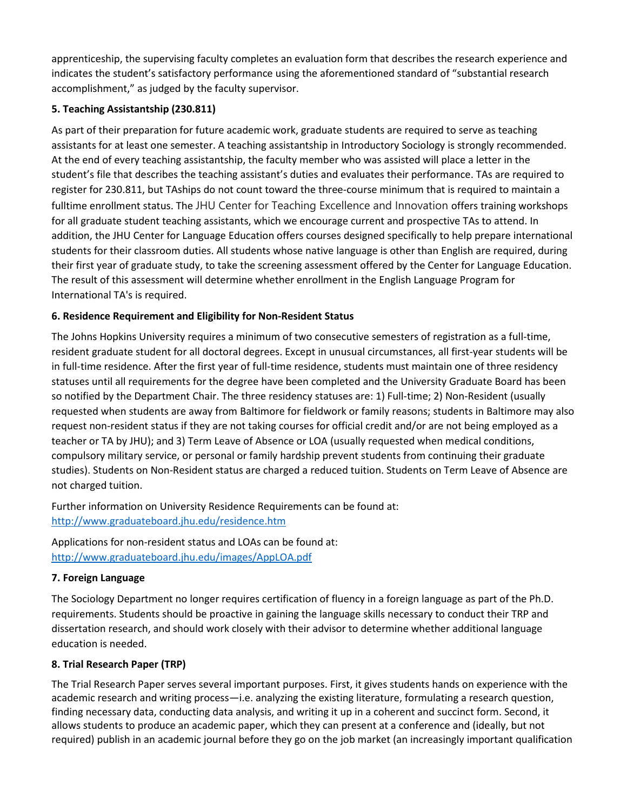apprenticeship, the supervising faculty completes an evaluation form that describes the research experience and indicates the student's satisfactory performance using the aforementioned standard of "substantial research accomplishment," as judged by the faculty supervisor.

### **5. Teaching Assistantship (230.811)**

As part of their preparation for future academic work, graduate students are required to serve as teaching assistants for at least one semester. A teaching assistantship in Introductory Sociology is strongly recommended. At the end of every teaching assistantship, the faculty member who was assisted will place a letter in the student's file that describes the teaching assistant's duties and evaluates their performance. TAs are required to register for 230.811, but TAships do not count toward the three-course minimum that is required to maintain a fulltime enrollment status. The JHU Center for Teaching Excellence and Innovation offers training workshops for all graduate student teaching assistants, which we encourage current and prospective TAs to attend. In addition, the JHU Center for Language Education offers courses designed specifically to help prepare international students for their classroom duties. All students whose native language is other than English are required, during their first year of graduate study, to take the screening assessment offered by the Center for Language Education. The result of this assessment will determine whether enrollment in the English Language Program for International TA's is required.

## **6. Residence Requirement and Eligibility for Non-Resident Status**

The Johns Hopkins University requires a minimum of two consecutive semesters of registration as a full-time, resident graduate student for all doctoral degrees. Except in unusual circumstances, all first-year students will be in full-time residence. After the first year of full-time residence, students must maintain one of three residency statuses until all requirements for the degree have been completed and the University Graduate Board has been so notified by the Department Chair. The three residency statuses are: 1) Full-time; 2) Non-Resident (usually requested when students are away from Baltimore for fieldwork or family reasons; students in Baltimore may also request non-resident status if they are not taking courses for official credit and/or are not being employed as a teacher or TA by JHU); and 3) Term Leave of Absence or LOA (usually requested when medical conditions, compulsory military service, or personal or family hardship prevent students from continuing their graduate studies). Students on Non-Resident status are charged a reduced tuition. Students on Term Leave of Absence are not charged tuition.

Further information on University Residence Requirements can be found at: <http://www.graduateboard.jhu.edu/residence.htm>

Applications for non-resident status and LOAs can be found at: <http://www.graduateboard.jhu.edu/images/AppLOA.pdf>

### **7. Foreign Language**

The Sociology Department no longer requires certification of fluency in a foreign language as part of the Ph.D. requirements. Students should be proactive in gaining the language skills necessary to conduct their TRP and dissertation research, and should work closely with their advisor to determine whether additional language education is needed.

### **8. Trial Research Paper (TRP)**

The Trial Research Paper serves several important purposes. First, it gives students hands on experience with the academic research and writing process—i.e. analyzing the existing literature, formulating a research question, finding necessary data, conducting data analysis, and writing it up in a coherent and succinct form. Second, it allows students to produce an academic paper, which they can present at a conference and (ideally, but not required) publish in an academic journal before they go on the job market (an increasingly important qualification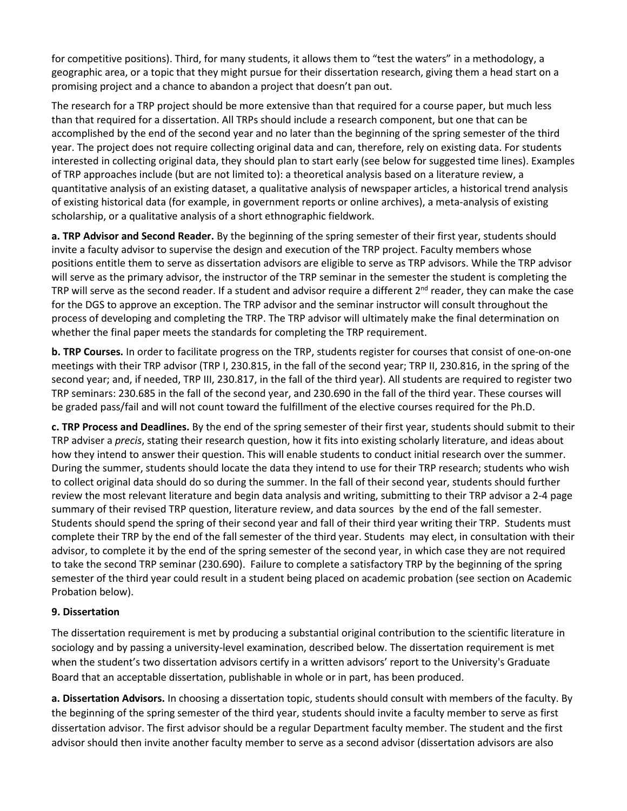for competitive positions). Third, for many students, it allows them to "test the waters" in a methodology, a geographic area, or a topic that they might pursue for their dissertation research, giving them a head start on a promising project and a chance to abandon a project that doesn't pan out.

The research for a TRP project should be more extensive than that required for a course paper, but much less than that required for a dissertation. All TRPs should include a research component, but one that can be accomplished by the end of the second year and no later than the beginning of the spring semester of the third year. The project does not require collecting original data and can, therefore, rely on existing data. For students interested in collecting original data, they should plan to start early (see below for suggested time lines). Examples of TRP approaches include (but are not limited to): a theoretical analysis based on a literature review, a quantitative analysis of an existing dataset, a qualitative analysis of newspaper articles, a historical trend analysis of existing historical data (for example, in government reports or online archives), a meta-analysis of existing scholarship, or a qualitative analysis of a short ethnographic fieldwork.

**a. TRP Advisor and Second Reader.** By the beginning of the spring semester of their first year, students should invite a faculty advisor to supervise the design and execution of the TRP project. Faculty members whose positions entitle them to serve as dissertation advisors are eligible to serve as TRP advisors. While the TRP advisor will serve as the primary advisor, the instructor of the TRP seminar in the semester the student is completing the TRP will serve as the second reader. If a student and advisor require a different  $2^{nd}$  reader, they can make the case for the DGS to approve an exception. The TRP advisor and the seminar instructor will consult throughout the process of developing and completing the TRP. The TRP advisor will ultimately make the final determination on whether the final paper meets the standards for completing the TRP requirement.

**b. TRP Courses.** In order to facilitate progress on the TRP, students register for courses that consist of one-on-one meetings with their TRP advisor (TRP I, 230.815, in the fall of the second year; TRP II, 230.816, in the spring of the second year; and, if needed, TRP III, 230.817, in the fall of the third year). All students are required to register two TRP seminars: 230.685 in the fall of the second year, and 230.690 in the fall of the third year. These courses will be graded pass/fail and will not count toward the fulfillment of the elective courses required for the Ph.D.

**c. TRP Process and Deadlines.** By the end of the spring semester of their first year, students should submit to their TRP adviser a *precis*, stating their research question, how it fits into existing scholarly literature, and ideas about how they intend to answer their question. This will enable students to conduct initial research over the summer. During the summer, students should locate the data they intend to use for their TRP research; students who wish to collect original data should do so during the summer. In the fall of their second year, students should further review the most relevant literature and begin data analysis and writing, submitting to their TRP advisor a 2-4 page summary of their revised TRP question, literature review, and data sources by the end of the fall semester. Students should spend the spring of their second year and fall of their third year writing their TRP. Students must complete their TRP by the end of the fall semester of the third year. Students may elect, in consultation with their advisor, to complete it by the end of the spring semester of the second year, in which case they are not required to take the second TRP seminar (230.690). Failure to complete a satisfactory TRP by the beginning of the spring semester of the third year could result in a student being placed on academic probation (see section on Academic Probation below).

### **9. Dissertation**

The dissertation requirement is met by producing a substantial original contribution to the scientific literature in sociology and by passing a university-level examination, described below. The dissertation requirement is met when the student's two dissertation advisors certify in a written advisors' report to the University's Graduate Board that an acceptable dissertation, publishable in whole or in part, has been produced.

**a. Dissertation Advisors.** In choosing a dissertation topic, students should consult with members of the faculty. By the beginning of the spring semester of the third year, students should invite a faculty member to serve as first dissertation advisor. The first advisor should be a regular Department faculty member. The student and the first advisor should then invite another faculty member to serve as a second advisor (dissertation advisors are also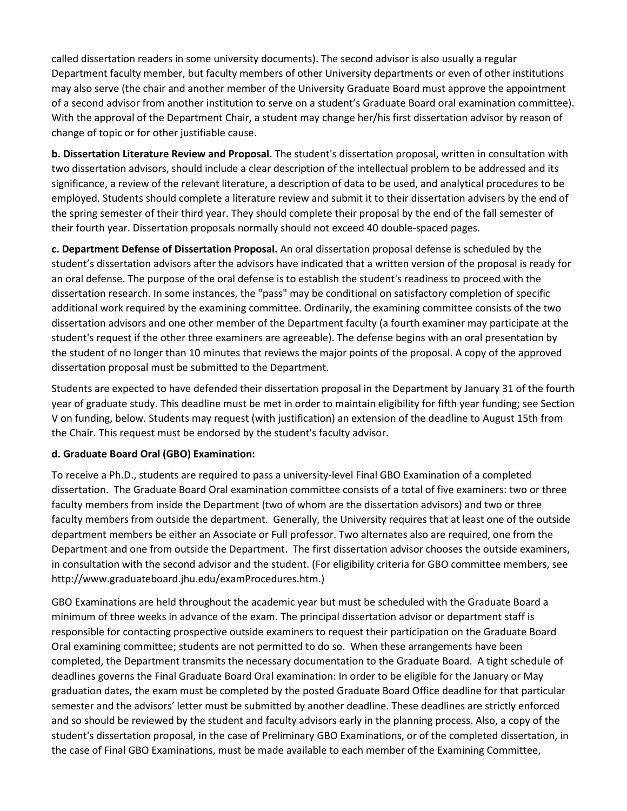called dissertation readers in some university documents). The second advisor is also usually a regular Department faculty member, but faculty members of other University departments or even of other institutions may also serve (the chair and another member of the University Graduate Board must approve the appointment of a second advisor from another institution to serve on a student's Graduate Board oral examination committee). With the approval of the Department Chair, a student may change her/his first dissertation advisor by reason of change of topic or for other justifiable cause.

**b. Dissertation Literature Review and Proposal.** The student's dissertation proposal, written in consultation with two dissertation advisors, should include a clear description of the intellectual problem to be addressed and its significance, a review of the relevant literature, a description of data to be used, and analytical procedures to be employed. Students should complete a literature review and submit it to their dissertation advisers by the end of the spring semester of their third year. They should complete their proposal by the end of the fall semester of their fourth year. Dissertation proposals normally should not exceed 40 double-spaced pages.

**c. Department Defense of Dissertation Proposal.** An oral dissertation proposal defense is scheduled by the student's dissertation advisors after the advisors have indicated that a written version of the proposal is ready for an oral defense. The purpose of the oral defense is to establish the student's readiness to proceed with the dissertation research. In some instances, the "pass" may be conditional on satisfactory completion of specific additional work required by the examining committee. Ordinarily, the examining committee consists of the two dissertation advisors and one other member of the Department faculty (a fourth examiner may participate at the student's request if the other three examiners are agreeable). The defense begins with an oral presentation by the student of no longer than 10 minutes that reviews the major points of the proposal. A copy of the approved dissertation proposal must be submitted to the Department.

Students are expected to have defended their dissertation proposal in the Department by January 31 of the fourth year of graduate study. This deadline must be met in order to maintain eligibility for fifth year funding; see Section V on funding, below. Students may request (with justification) an extension of the deadline to August 15th from the Chair. This request must be endorsed by the student's faculty advisor.

### **d. Graduate Board Oral (GBO) Examination:**

To receive a Ph.D., students are required to pass a university-level Final GBO Examination of a completed dissertation. The Graduate Board Oral examination committee consists of a total of five examiners: two or three faculty members from inside the Department (two of whom are the dissertation advisors) and two or three faculty members from outside the department. Generally, the University requires that at least one of the outside department members be either an Associate or Full professor. Two alternates also are required, one from the Department and one from outside the Department. The first dissertation advisor chooses the outside examiners, in consultation with the second advisor and the student. (For eligibility criteria for GBO committee members, see http://www.graduateboard.jhu.edu/examProcedures.htm.)

GBO Examinations are held throughout the academic year but must be scheduled with the Graduate Board a minimum of three weeks in advance of the exam. The principal dissertation advisor or department staff is responsible for contacting prospective outside examiners to request their participation on the Graduate Board Oral examining committee; students are not permitted to do so. When these arrangements have been completed, the Department transmits the necessary documentation to the Graduate Board. A tight schedule of deadlines governs the Final Graduate Board Oral examination: In order to be eligible for the January or May graduation dates, the exam must be completed by the posted Graduate Board Office deadline for that particular semester and the advisors' letter must be submitted by another deadline. These deadlines are strictly enforced and so should be reviewed by the student and faculty advisors early in the planning process. Also, a copy of the student's dissertation proposal, in the case of Preliminary GBO Examinations, or of the completed dissertation, in the case of Final GBO Examinations, must be made available to each member of the Examining Committee,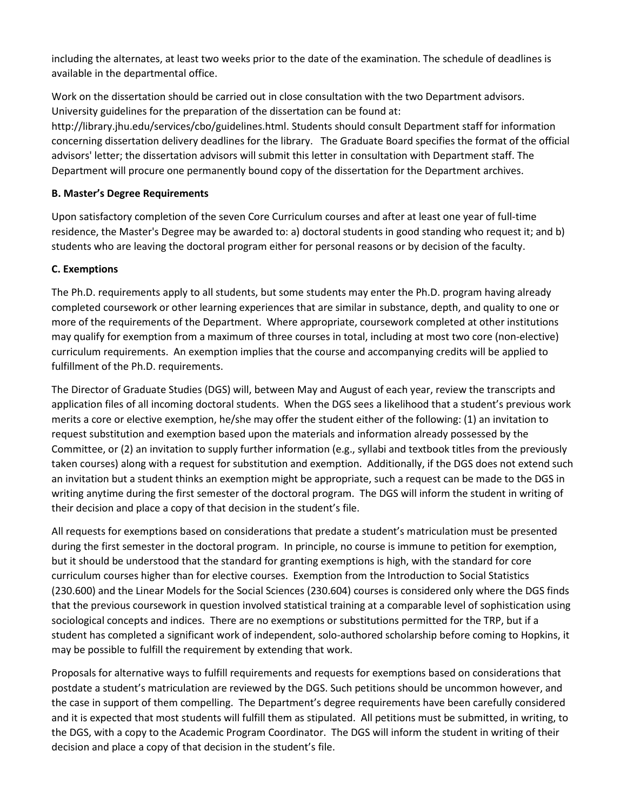including the alternates, at least two weeks prior to the date of the examination. The schedule of deadlines is available in the departmental office.

Work on the dissertation should be carried out in close consultation with the two Department advisors. University guidelines for the preparation of the dissertation can be found at:

http://library.jhu.edu/services/cbo/guidelines.html. Students should consult Department staff for information concerning dissertation delivery deadlines for the library. The Graduate Board specifies the format of the official advisors' letter; the dissertation advisors will submit this letter in consultation with Department staff. The Department will procure one permanently bound copy of the dissertation for the Department archives.

### **B. Master's Degree Requirements**

Upon satisfactory completion of the seven Core Curriculum courses and after at least one year of full-time residence, the Master's Degree may be awarded to: a) doctoral students in good standing who request it; and b) students who are leaving the doctoral program either for personal reasons or by decision of the faculty.

## **C. Exemptions**

The Ph.D. requirements apply to all students, but some students may enter the Ph.D. program having already completed coursework or other learning experiences that are similar in substance, depth, and quality to one or more of the requirements of the Department. Where appropriate, coursework completed at other institutions may qualify for exemption from a maximum of three courses in total, including at most two core (non-elective) curriculum requirements. An exemption implies that the course and accompanying credits will be applied to fulfillment of the Ph.D. requirements.

The Director of Graduate Studies (DGS) will, between May and August of each year, review the transcripts and application files of all incoming doctoral students. When the DGS sees a likelihood that a student's previous work merits a core or elective exemption, he/she may offer the student either of the following: (1) an invitation to request substitution and exemption based upon the materials and information already possessed by the Committee, or (2) an invitation to supply further information (e.g., syllabi and textbook titles from the previously taken courses) along with a request for substitution and exemption. Additionally, if the DGS does not extend such an invitation but a student thinks an exemption might be appropriate, such a request can be made to the DGS in writing anytime during the first semester of the doctoral program. The DGS will inform the student in writing of their decision and place a copy of that decision in the student's file.

All requests for exemptions based on considerations that predate a student's matriculation must be presented during the first semester in the doctoral program. In principle, no course is immune to petition for exemption, but it should be understood that the standard for granting exemptions is high, with the standard for core curriculum courses higher than for elective courses. Exemption from the Introduction to Social Statistics (230.600) and the Linear Models for the Social Sciences (230.604) courses is considered only where the DGS finds that the previous coursework in question involved statistical training at a comparable level of sophistication using sociological concepts and indices. There are no exemptions or substitutions permitted for the TRP, but if a student has completed a significant work of independent, solo-authored scholarship before coming to Hopkins, it may be possible to fulfill the requirement by extending that work.

Proposals for alternative ways to fulfill requirements and requests for exemptions based on considerations that postdate a student's matriculation are reviewed by the DGS. Such petitions should be uncommon however, and the case in support of them compelling. The Department's degree requirements have been carefully considered and it is expected that most students will fulfill them as stipulated. All petitions must be submitted, in writing, to the DGS, with a copy to the Academic Program Coordinator. The DGS will inform the student in writing of their decision and place a copy of that decision in the student's file.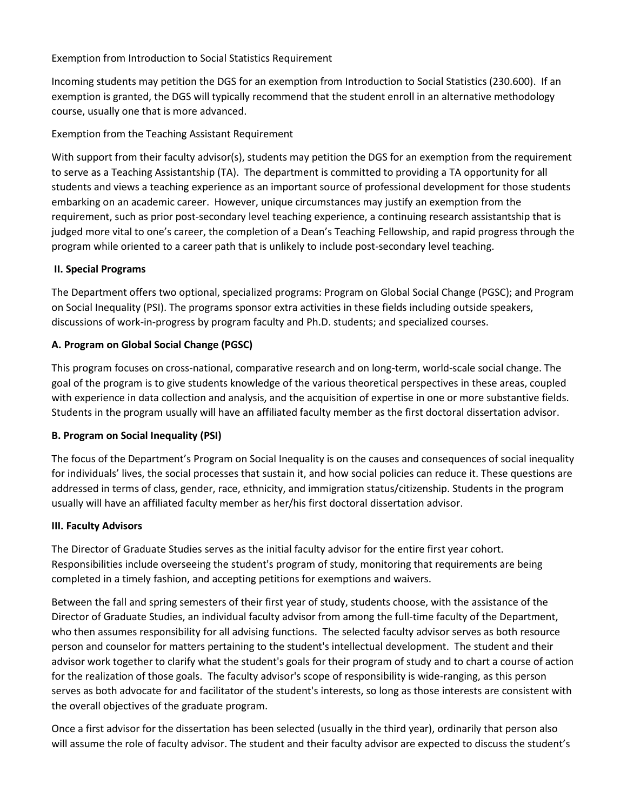### Exemption from Introduction to Social Statistics Requirement

Incoming students may petition the DGS for an exemption from Introduction to Social Statistics (230.600). If an exemption is granted, the DGS will typically recommend that the student enroll in an alternative methodology course, usually one that is more advanced.

### Exemption from the Teaching Assistant Requirement

With support from their faculty advisor(s), students may petition the DGS for an exemption from the requirement to serve as a Teaching Assistantship (TA). The department is committed to providing a TA opportunity for all students and views a teaching experience as an important source of professional development for those students embarking on an academic career. However, unique circumstances may justify an exemption from the requirement, such as prior post-secondary level teaching experience, a continuing research assistantship that is judged more vital to one's career, the completion of a Dean's Teaching Fellowship, and rapid progress through the program while oriented to a career path that is unlikely to include post-secondary level teaching.

#### **II. Special Programs**

The Department offers two optional, specialized programs: Program on Global Social Change (PGSC); and Program on Social Inequality (PSI). The programs sponsor extra activities in these fields including outside speakers, discussions of work-in-progress by program faculty and Ph.D. students; and specialized courses.

### **A. Program on Global Social Change (PGSC)**

This program focuses on cross-national, comparative research and on long-term, world-scale social change. The goal of the program is to give students knowledge of the various theoretical perspectives in these areas, coupled with experience in data collection and analysis, and the acquisition of expertise in one or more substantive fields. Students in the program usually will have an affiliated faculty member as the first doctoral dissertation advisor.

### **B. Program on Social Inequality (PSI)**

The focus of the Department's Program on Social Inequality is on the causes and consequences of social inequality for individuals' lives, the social processes that sustain it, and how social policies can reduce it. These questions are addressed in terms of class, gender, race, ethnicity, and immigration status/citizenship. Students in the program usually will have an affiliated faculty member as her/his first doctoral dissertation advisor.

#### **III. Faculty Advisors**

The Director of Graduate Studies serves as the initial faculty advisor for the entire first year cohort. Responsibilities include overseeing the student's program of study, monitoring that requirements are being completed in a timely fashion, and accepting petitions for exemptions and waivers.

Between the fall and spring semesters of their first year of study, students choose, with the assistance of the Director of Graduate Studies, an individual faculty advisor from among the full-time faculty of the Department, who then assumes responsibility for all advising functions. The selected faculty advisor serves as both resource person and counselor for matters pertaining to the student's intellectual development. The student and their advisor work together to clarify what the student's goals for their program of study and to chart a course of action for the realization of those goals. The faculty advisor's scope of responsibility is wide-ranging, as this person serves as both advocate for and facilitator of the student's interests, so long as those interests are consistent with the overall objectives of the graduate program.

Once a first advisor for the dissertation has been selected (usually in the third year), ordinarily that person also will assume the role of faculty advisor. The student and their faculty advisor are expected to discuss the student's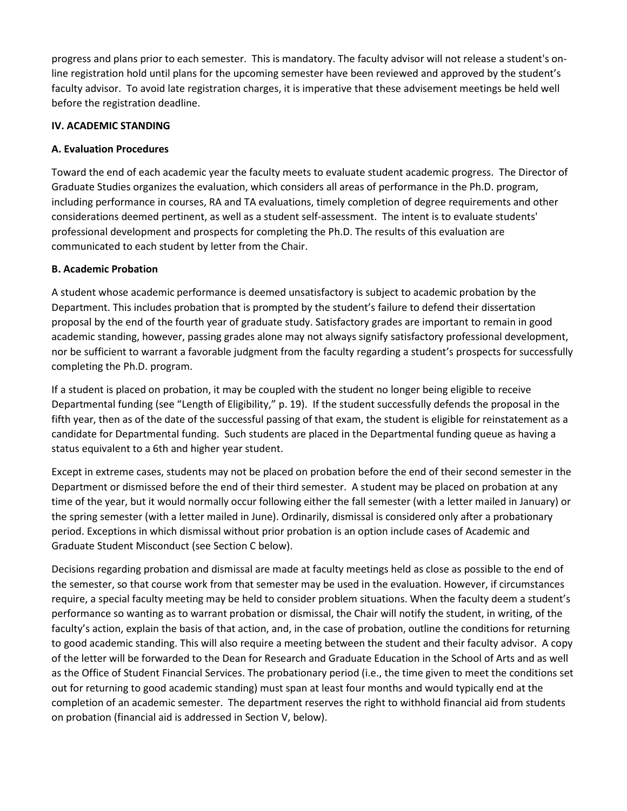progress and plans prior to each semester. This is mandatory. The faculty advisor will not release a student's online registration hold until plans for the upcoming semester have been reviewed and approved by the student's faculty advisor. To avoid late registration charges, it is imperative that these advisement meetings be held well before the registration deadline.

### **IV. ACADEMIC STANDING**

### **A. Evaluation Procedures**

Toward the end of each academic year the faculty meets to evaluate student academic progress. The Director of Graduate Studies organizes the evaluation, which considers all areas of performance in the Ph.D. program, including performance in courses, RA and TA evaluations, timely completion of degree requirements and other considerations deemed pertinent, as well as a student self-assessment. The intent is to evaluate students' professional development and prospects for completing the Ph.D. The results of this evaluation are communicated to each student by letter from the Chair.

### **B. Academic Probation**

A student whose academic performance is deemed unsatisfactory is subject to academic probation by the Department. This includes probation that is prompted by the student's failure to defend their dissertation proposal by the end of the fourth year of graduate study. Satisfactory grades are important to remain in good academic standing, however, passing grades alone may not always signify satisfactory professional development, nor be sufficient to warrant a favorable judgment from the faculty regarding a student's prospects for successfully completing the Ph.D. program.

If a student is placed on probation, it may be coupled with the student no longer being eligible to receive Departmental funding (see "Length of Eligibility," p. 19). If the student successfully defends the proposal in the fifth year, then as of the date of the successful passing of that exam, the student is eligible for reinstatement as a candidate for Departmental funding. Such students are placed in the Departmental funding queue as having a status equivalent to a 6th and higher year student.

Except in extreme cases, students may not be placed on probation before the end of their second semester in the Department or dismissed before the end of their third semester. A student may be placed on probation at any time of the year, but it would normally occur following either the fall semester (with a letter mailed in January) or the spring semester (with a letter mailed in June). Ordinarily, dismissal is considered only after a probationary period. Exceptions in which dismissal without prior probation is an option include cases of Academic and Graduate Student Misconduct (see Section C below).

Decisions regarding probation and dismissal are made at faculty meetings held as close as possible to the end of the semester, so that course work from that semester may be used in the evaluation. However, if circumstances require, a special faculty meeting may be held to consider problem situations. When the faculty deem a student's performance so wanting as to warrant probation or dismissal, the Chair will notify the student, in writing, of the faculty's action, explain the basis of that action, and, in the case of probation, outline the conditions for returning to good academic standing. This will also require a meeting between the student and their faculty advisor. A copy of the letter will be forwarded to the Dean for Research and Graduate Education in the School of Arts and as well as the Office of Student Financial Services. The probationary period (i.e., the time given to meet the conditions set out for returning to good academic standing) must span at least four months and would typically end at the completion of an academic semester. The department reserves the right to withhold financial aid from students on probation (financial aid is addressed in Section V, below).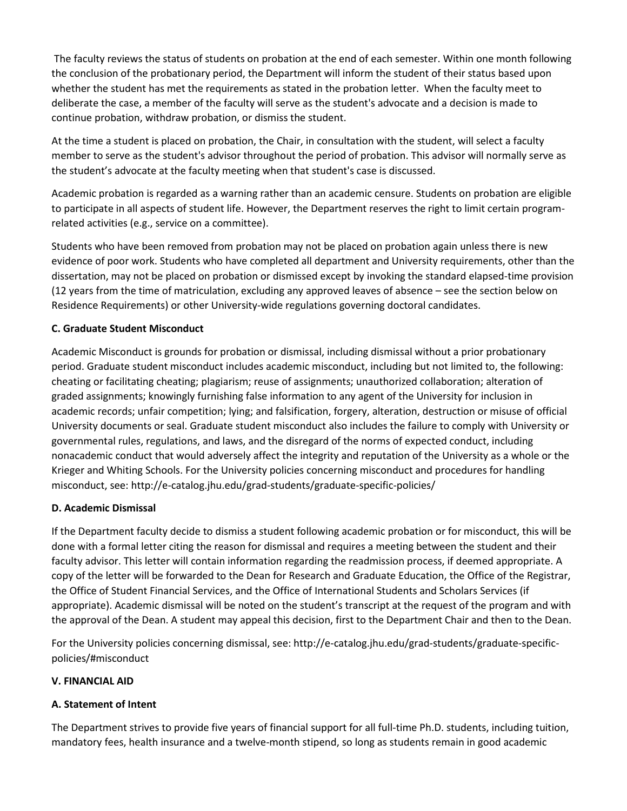The faculty reviews the status of students on probation at the end of each semester. Within one month following the conclusion of the probationary period, the Department will inform the student of their status based upon whether the student has met the requirements as stated in the probation letter. When the faculty meet to deliberate the case, a member of the faculty will serve as the student's advocate and a decision is made to continue probation, withdraw probation, or dismiss the student.

At the time a student is placed on probation, the Chair, in consultation with the student, will select a faculty member to serve as the student's advisor throughout the period of probation. This advisor will normally serve as the student's advocate at the faculty meeting when that student's case is discussed.

Academic probation is regarded as a warning rather than an academic censure. Students on probation are eligible to participate in all aspects of student life. However, the Department reserves the right to limit certain programrelated activities (e.g., service on a committee).

Students who have been removed from probation may not be placed on probation again unless there is new evidence of poor work. Students who have completed all department and University requirements, other than the dissertation, may not be placed on probation or dismissed except by invoking the standard elapsed-time provision (12 years from the time of matriculation, excluding any approved leaves of absence – see the section below on Residence Requirements) or other University-wide regulations governing doctoral candidates.

### **C. Graduate Student Misconduct**

Academic Misconduct is grounds for probation or dismissal, including dismissal without a prior probationary period. Graduate student misconduct includes academic misconduct, including but not limited to, the following: cheating or facilitating cheating; plagiarism; reuse of assignments; unauthorized collaboration; alteration of graded assignments; knowingly furnishing false information to any agent of the University for inclusion in academic records; unfair competition; lying; and falsification, forgery, alteration, destruction or misuse of official University documents or seal. Graduate student misconduct also includes the failure to comply with University or governmental rules, regulations, and laws, and the disregard of the norms of expected conduct, including nonacademic conduct that would adversely affect the integrity and reputation of the University as a whole or the Krieger and Whiting Schools. For the University policies concerning misconduct and procedures for handling misconduct, see: http://e-catalog.jhu.edu/grad-students/graduate-specific-policies/

### **D. Academic Dismissal**

If the Department faculty decide to dismiss a student following academic probation or for misconduct, this will be done with a formal letter citing the reason for dismissal and requires a meeting between the student and their faculty advisor. This letter will contain information regarding the readmission process, if deemed appropriate. A copy of the letter will be forwarded to the Dean for Research and Graduate Education, the Office of the Registrar, the Office of Student Financial Services, and the Office of International Students and Scholars Services (if appropriate). Academic dismissal will be noted on the student's transcript at the request of the program and with the approval of the Dean. A student may appeal this decision, first to the Department Chair and then to the Dean.

For the University policies concerning dismissal, see: http://e-catalog.jhu.edu/grad-students/graduate-specificpolicies/#misconduct

#### **V. FINANCIAL AID**

### **A. Statement of Intent**

The Department strives to provide five years of financial support for all full-time Ph.D. students, including tuition, mandatory fees, health insurance and a twelve-month stipend, so long as students remain in good academic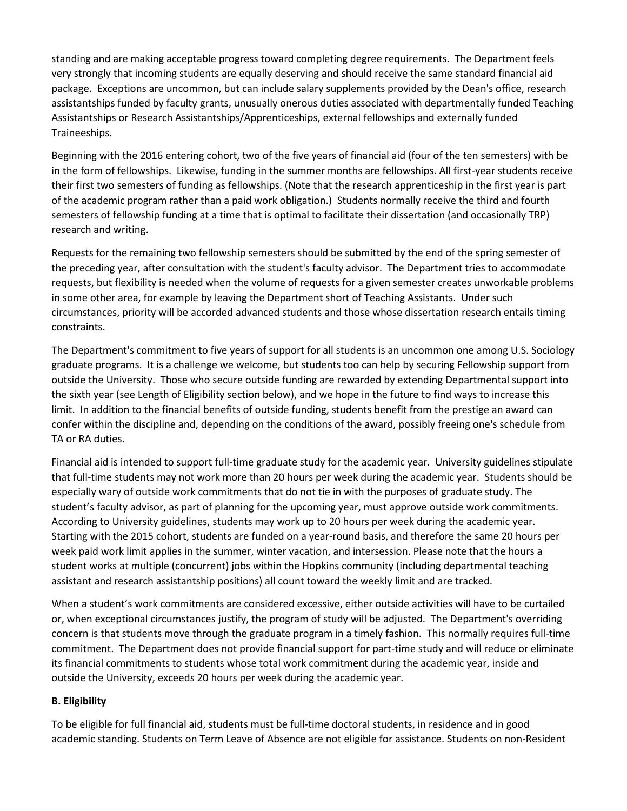standing and are making acceptable progress toward completing degree requirements. The Department feels very strongly that incoming students are equally deserving and should receive the same standard financial aid package. Exceptions are uncommon, but can include salary supplements provided by the Dean's office, research assistantships funded by faculty grants, unusually onerous duties associated with departmentally funded Teaching Assistantships or Research Assistantships/Apprenticeships, external fellowships and externally funded Traineeships.

Beginning with the 2016 entering cohort, two of the five years of financial aid (four of the ten semesters) with be in the form of fellowships. Likewise, funding in the summer months are fellowships. All first-year students receive their first two semesters of funding as fellowships. (Note that the research apprenticeship in the first year is part of the academic program rather than a paid work obligation.) Students normally receive the third and fourth semesters of fellowship funding at a time that is optimal to facilitate their dissertation (and occasionally TRP) research and writing.

Requests for the remaining two fellowship semesters should be submitted by the end of the spring semester of the preceding year, after consultation with the student's faculty advisor. The Department tries to accommodate requests, but flexibility is needed when the volume of requests for a given semester creates unworkable problems in some other area, for example by leaving the Department short of Teaching Assistants. Under such circumstances, priority will be accorded advanced students and those whose dissertation research entails timing constraints.

The Department's commitment to five years of support for all students is an uncommon one among U.S. Sociology graduate programs. It is a challenge we welcome, but students too can help by securing Fellowship support from outside the University. Those who secure outside funding are rewarded by extending Departmental support into the sixth year (see Length of Eligibility section below), and we hope in the future to find ways to increase this limit. In addition to the financial benefits of outside funding, students benefit from the prestige an award can confer within the discipline and, depending on the conditions of the award, possibly freeing one's schedule from TA or RA duties.

Financial aid is intended to support full-time graduate study for the academic year. University guidelines stipulate that full-time students may not work more than 20 hours per week during the academic year. Students should be especially wary of outside work commitments that do not tie in with the purposes of graduate study. The student's faculty advisor, as part of planning for the upcoming year, must approve outside work commitments. According to University guidelines, students may work up to 20 hours per week during the academic year. Starting with the 2015 cohort, students are funded on a year-round basis, and therefore the same 20 hours per week paid work limit applies in the summer, winter vacation, and intersession. Please note that the hours a student works at multiple (concurrent) jobs within the Hopkins community (including departmental teaching assistant and research assistantship positions) all count toward the weekly limit and are tracked.

When a student's work commitments are considered excessive, either outside activities will have to be curtailed or, when exceptional circumstances justify, the program of study will be adjusted. The Department's overriding concern is that students move through the graduate program in a timely fashion. This normally requires full-time commitment. The Department does not provide financial support for part-time study and will reduce or eliminate its financial commitments to students whose total work commitment during the academic year, inside and outside the University, exceeds 20 hours per week during the academic year.

### **B. Eligibility**

To be eligible for full financial aid, students must be full-time doctoral students, in residence and in good academic standing. Students on Term Leave of Absence are not eligible for assistance. Students on non-Resident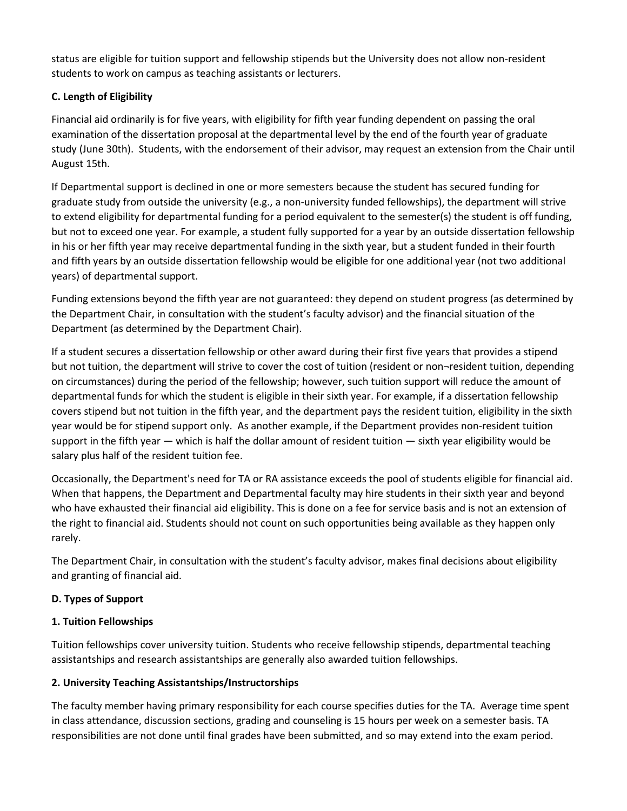status are eligible for tuition support and fellowship stipends but the University does not allow non-resident students to work on campus as teaching assistants or lecturers.

## **C. Length of Eligibility**

Financial aid ordinarily is for five years, with eligibility for fifth year funding dependent on passing the oral examination of the dissertation proposal at the departmental level by the end of the fourth year of graduate study (June 30th). Students, with the endorsement of their advisor, may request an extension from the Chair until August 15th.

If Departmental support is declined in one or more semesters because the student has secured funding for graduate study from outside the university (e.g., a non-university funded fellowships), the department will strive to extend eligibility for departmental funding for a period equivalent to the semester(s) the student is off funding, but not to exceed one year. For example, a student fully supported for a year by an outside dissertation fellowship in his or her fifth year may receive departmental funding in the sixth year, but a student funded in their fourth and fifth years by an outside dissertation fellowship would be eligible for one additional year (not two additional years) of departmental support.

Funding extensions beyond the fifth year are not guaranteed: they depend on student progress (as determined by the Department Chair, in consultation with the student's faculty advisor) and the financial situation of the Department (as determined by the Department Chair).

If a student secures a dissertation fellowship or other award during their first five years that provides a stipend but not tuition, the department will strive to cover the cost of tuition (resident or non-resident tuition, depending on circumstances) during the period of the fellowship; however, such tuition support will reduce the amount of departmental funds for which the student is eligible in their sixth year. For example, if a dissertation fellowship covers stipend but not tuition in the fifth year, and the department pays the resident tuition, eligibility in the sixth year would be for stipend support only. As another example, if the Department provides non-resident tuition support in the fifth year — which is half the dollar amount of resident tuition — sixth year eligibility would be salary plus half of the resident tuition fee.

Occasionally, the Department's need for TA or RA assistance exceeds the pool of students eligible for financial aid. When that happens, the Department and Departmental faculty may hire students in their sixth year and beyond who have exhausted their financial aid eligibility. This is done on a fee for service basis and is not an extension of the right to financial aid. Students should not count on such opportunities being available as they happen only rarely.

The Department Chair, in consultation with the student's faculty advisor, makes final decisions about eligibility and granting of financial aid.

## **D. Types of Support**

## **1. Tuition Fellowships**

Tuition fellowships cover university tuition. Students who receive fellowship stipends, departmental teaching assistantships and research assistantships are generally also awarded tuition fellowships.

## **2. University Teaching Assistantships/Instructorships**

The faculty member having primary responsibility for each course specifies duties for the TA. Average time spent in class attendance, discussion sections, grading and counseling is 15 hours per week on a semester basis. TA responsibilities are not done until final grades have been submitted, and so may extend into the exam period.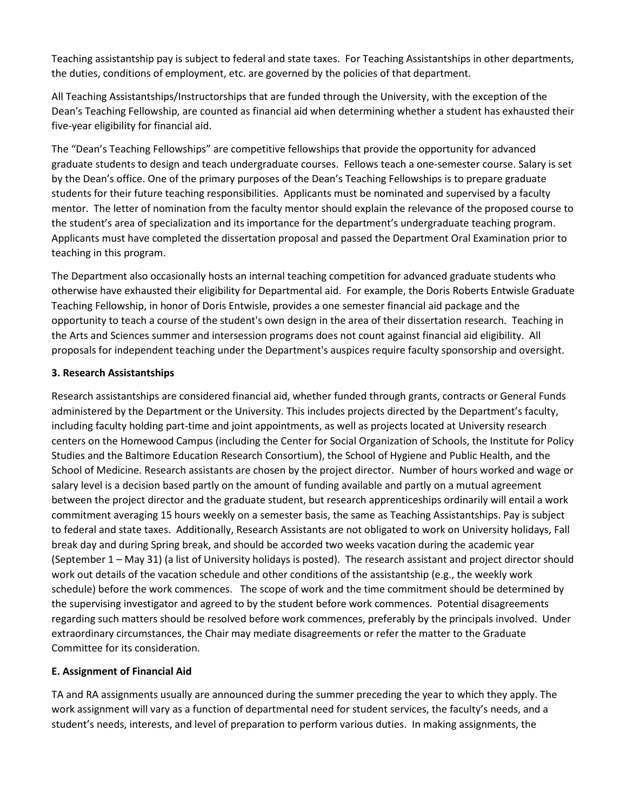Teaching assistantship pay is subject to federal and state taxes. For Teaching Assistantships in other departments, the duties, conditions of employment, etc. are governed by the policies of that department.

All Teaching Assistantships/Instructorships that are funded through the University, with the exception of the Dean's Teaching Fellowship, are counted as financial aid when determining whether a student has exhausted their five-year eligibility for financial aid.

The "Dean's Teaching Fellowships" are competitive fellowships that provide the opportunity for advanced graduate students to design and teach undergraduate courses. Fellows teach a one-semester course. Salary is set by the Dean's office. One of the primary purposes of the Dean's Teaching Fellowships is to prepare graduate students for their future teaching responsibilities. Applicants must be nominated and supervised by a faculty mentor. The letter of nomination from the faculty mentor should explain the relevance of the proposed course to the student's area of specialization and its importance for the department's undergraduate teaching program. Applicants must have completed the dissertation proposal and passed the Department Oral Examination prior to teaching in this program.

The Department also occasionally hosts an internal teaching competition for advanced graduate students who otherwise have exhausted their eligibility for Departmental aid. For example, the Doris Roberts Entwisle Graduate Teaching Fellowship, in honor of Doris Entwisle, provides a one semester financial aid package and the opportunity to teach a course of the student's own design in the area of their dissertation research. Teaching in the Arts and Sciences summer and intersession programs does not count against financial aid eligibility. All proposals for independent teaching under the Department's auspices require faculty sponsorship and oversight.

#### **3. Research Assistantships**

Research assistantships are considered financial aid, whether funded through grants, contracts or General Funds administered by the Department or the University. This includes projects directed by the Department's faculty, including faculty holding part-time and joint appointments, as well as projects located at University research centers on the Homewood Campus (including the Center for Social Organization of Schools, the Institute for Policy Studies and the Baltimore Education Research Consortium), the School of Hygiene and Public Health, and the School of Medicine. Research assistants are chosen by the project director. Number of hours worked and wage or salary level is a decision based partly on the amount of funding available and partly on a mutual agreement between the project director and the graduate student, but research apprenticeships ordinarily will entail a work commitment averaging 15 hours weekly on a semester basis, the same as Teaching Assistantships. Pay is subject to federal and state taxes. Additionally, Research Assistants are not obligated to work on University holidays, Fall break day and during Spring break, and should be accorded two weeks vacation during the academic year (September 1 – May 31) (a list of University holidays is posted). The research assistant and project director should work out details of the vacation schedule and other conditions of the assistantship (e.g., the weekly work schedule) before the work commences. The scope of work and the time commitment should be determined by the supervising investigator and agreed to by the student before work commences. Potential disagreements regarding such matters should be resolved before work commences, preferably by the principals involved. Under extraordinary circumstances, the Chair may mediate disagreements or refer the matter to the Graduate Committee for its consideration.

### **E. Assignment of Financial Aid**

TA and RA assignments usually are announced during the summer preceding the year to which they apply. The work assignment will vary as a function of departmental need for student services, the faculty's needs, and a student's needs, interests, and level of preparation to perform various duties. In making assignments, the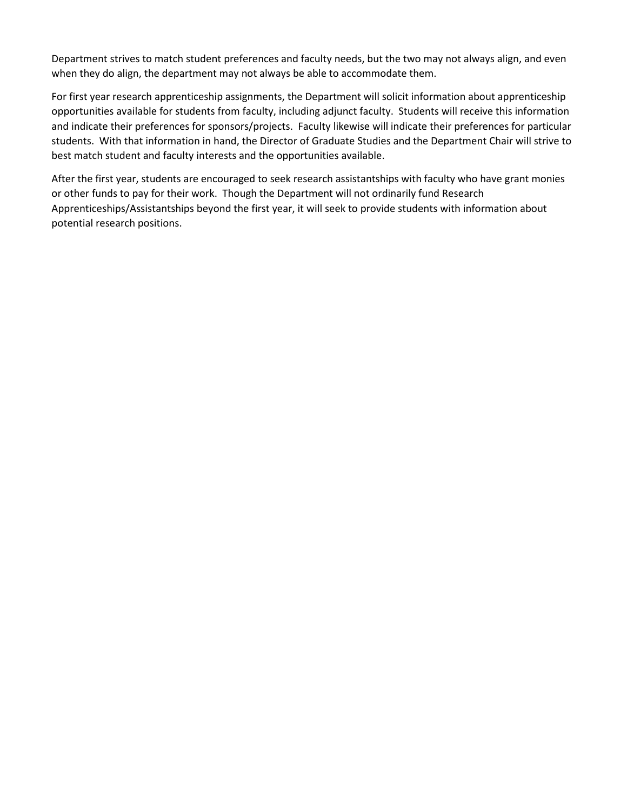Department strives to match student preferences and faculty needs, but the two may not always align, and even when they do align, the department may not always be able to accommodate them.

For first year research apprenticeship assignments, the Department will solicit information about apprenticeship opportunities available for students from faculty, including adjunct faculty. Students will receive this information and indicate their preferences for sponsors/projects. Faculty likewise will indicate their preferences for particular students. With that information in hand, the Director of Graduate Studies and the Department Chair will strive to best match student and faculty interests and the opportunities available.

After the first year, students are encouraged to seek research assistantships with faculty who have grant monies or other funds to pay for their work. Though the Department will not ordinarily fund Research Apprenticeships/Assistantships beyond the first year, it will seek to provide students with information about potential research positions.